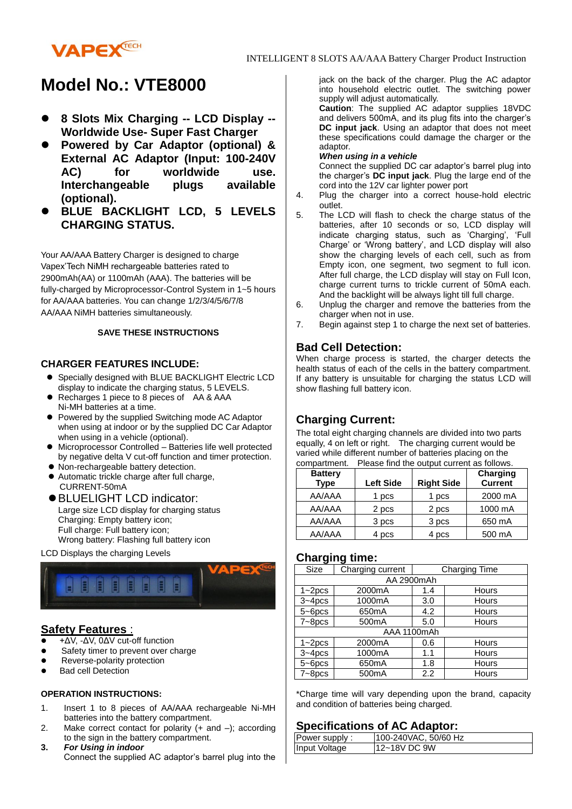

# **Model No.: VTE8000**

- **8 Slots Mix Charging -- LCD Display -- Worldwide Use- Super Fast Charger**
- **Powered by Car Adaptor (optional) & External AC Adaptor (Input: 100-240V AC) for worldwide use. Interchangeable plugs available (optional).**
- **BLUE BACKLIGHT LCD, 5 LEVELS CHARGING STATUS.**

Your AA/AAA Battery Charger is designed to charge Vapex'Tech NiMH rechargeable batteries rated to 2900mAh(AA) or 1100mAh (AAA). The batteries will be fully-charged by Microprocessor-Control System in 1~5 hours for AA/AAA batteries. You can change 1/2/3/4/5/6/7/8 AA/AAA NiMH batteries simultaneously.

#### **SAVE THESE INSTRUCTIONS**

#### **CHARGER FEATURES INCLUDE:**

- **•** Specially designed with BLUE BACKLIGHT Electric LCD display to indicate the charging status, 5 LEVELS.
- Recharges 1 piece to 8 pieces of AA & AAA Ni-MH batteries at a time.
- Powered by the supplied Switching mode AC Adaptor when using at indoor or by the supplied DC Car Adaptor when using in a vehicle (optional).
- Microprocessor Controlled Batteries life well protected by negative delta V cut-off function and timer protection.
- $\bullet$  Non-rechargeable battery detection.
- Automatic trickle charge after full charge, CURRENT-50mA
- BLUELIGHT LCD indicator: Large size LCD display for charging status Charging: Empty battery icon; Full charge: Full battery icon; Wrong battery: Flashing full battery icon

#### LCD Displays the charging Levels



## **Safety Features** :

- +ΔV, -ΔV, 0ΔV cut-off function
- Safety timer to prevent over charge
- Reverse-polarity protection
- Bad cell Detection

#### **OPERATION INSTRUCTIONS:**

- 1. Insert 1 to 8 pieces of AA/AAA rechargeable Ni-MH batteries into the battery compartment.
- 2. Make correct contact for polarity (+ and –); according to the sign in the battery compartment.
- **3.** *For Using in indoor* Connect the supplied AC adaptor's barrel plug into the

jack on the back of the charger. Plug the AC adaptor into household electric outlet. The switching power supply will adjust automatically.

**Caution**: The supplied AC adaptor supplies 18VDC and delivers 500mA, and its plug fits into the charger's **DC input jack**. Using an adaptor that does not meet these specifications could damage the charger or the adaptor.

#### *When using in a vehicle*

Connect the supplied DC car adaptor's barrel plug into the charger's **DC input jack**. Plug the large end of the cord into the 12V car lighter power port

- 4. Plug the charger into a correct house-hold electric outlet.
- 5. The LCD will flash to check the charge status of the batteries, after 10 seconds or so, LCD display will indicate charging status, such as 'Charging', 'Full Charge' or 'Wrong battery', and LCD display will also show the charging levels of each cell, such as from Empty icon, one segment, two segment to full icon. After full charge, the LCD display will stay on Full Icon, charge current turns to trickle current of 50mA each. And the backlight will be always light till full charge.
- 6. Unplug the charger and remove the batteries from the charger when not in use.
- 7. Begin against step 1 to charge the next set of batteries.

# **Bad Cell Detection:**

When charge process is started, the charger detects the health status of each of the cells in the battery compartment. If any battery is unsuitable for charging the status LCD will show flashing full battery icon.

# **Charging Current:**

The total eight charging channels are divided into two parts equally, 4 on left or right. The charging current would be varied while different number of batteries placing on the compartment. Please find the output current as follows.

| <b>Battery</b><br><b>Type</b> | <b>Left Side</b> | <b>Right Side</b> | Charging<br><b>Current</b> |
|-------------------------------|------------------|-------------------|----------------------------|
| AA/AAA                        | 1 pcs            | 1 pcs             | 2000 mA                    |
| AA/AAA                        | 2 pcs            | 2 pcs             | 1000 mA                    |
| AA/AAA                        | 3 pcs            | 3 pcs             | 650 mA                     |
| AA/AAA                        | 4 pcs            | 4 pcs             | 500 mA                     |

# **Charging time:**

| Size        | Charging current |     | Charging Time |  |
|-------------|------------------|-----|---------------|--|
| AA 2900mAh  |                  |     |               |  |
| $1 - 2pcs$  | 2000mA           | 1.4 | Hours         |  |
| $3 - 4pcs$  | 1000mA           | 3.0 | Hours         |  |
| $5 - 6pcs$  | 650mA            | 4.2 | Hours         |  |
| $7 - 8pcs$  | 500mA            | 5.0 | Hours         |  |
| AAA 1100mAh |                  |     |               |  |
| $1 - 2pcs$  | 2000mA           | 0.6 | Hours         |  |
| $3 - 4pcs$  | 1000mA           | 1.1 | Hours         |  |
| $5 - 6pcs$  | 650mA            | 1.8 | Hours         |  |
| $7 - 8pcs$  | 500mA            | 2.2 | Hours         |  |

\*Charge time will vary depending upon the brand, capacity and condition of batteries being charged.

## **Specifications of AC Adaptor:**

| Power supply: | 100-240VAC, 50/60 Hz |
|---------------|----------------------|
| Input Voltage | l12~18V DC 9W        |